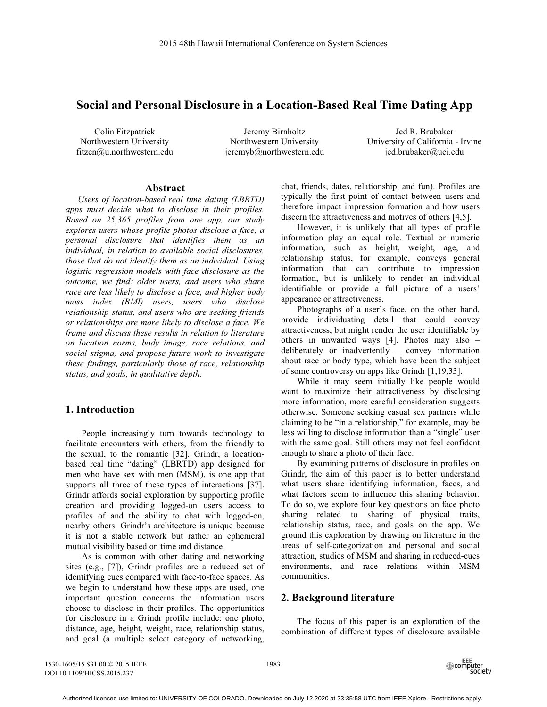# **Social and Personal Disclosure in a Location-Based Real Time Dating App**

Colin Fitzpatrick Northwestern University fitzcn@u.northwestern.edu

Jeremy Birnholtz Northwestern University jeremyb@northwestern.edu

Jed R. Brubaker University of California - Irvine jed.brubaker@uci.edu

#### **Abstract**

*Users of location-based real time dating (LBRTD) apps must decide what to disclose in their profiles. Based on 25,365 profiles from one app, our study explores users whose profile photos disclose a face, a personal disclosure that identifies them as an individual, in relation to available social disclosures, those that do not identify them as an individual. Using logistic regression models with face disclosure as the outcome, we find: older users, and users who share race are less likely to disclose a face, and higher body mass index (BMI) users, users who disclose relationship status, and users who are seeking friends or relationships are more likely to disclose a face. We frame and discuss these results in relation to literature on location norms, body image, race relations, and social stigma, and propose future work to investigate these findings, particularly those of race, relationship status, and goals, in qualitative depth.* 

## **1. Introduction**

People increasingly turn towards technology to facilitate encounters with others, from the friendly to the sexual, to the romantic [32]. Grindr, a locationbased real time "dating" (LBRTD) app designed for men who have sex with men (MSM), is one app that supports all three of these types of interactions [37]. Grindr affords social exploration by supporting profile creation and providing logged-on users access to profiles of and the ability to chat with logged-on, nearby others. Grindr's architecture is unique because it is not a stable network but rather an ephemeral mutual visibility based on time and distance.

As is common with other dating and networking sites (e.g., [7]), Grindr profiles are a reduced set of identifying cues compared with face-to-face spaces. As we begin to understand how these apps are used, one important question concerns the information users choose to disclose in their profiles. The opportunities for disclosure in a Grindr profile include: one photo, distance, age, height, weight, race, relationship status, and goal (a multiple select category of networking, chat, friends, dates, relationship, and fun). Profiles are typically the first point of contact between users and therefore impact impression formation and how users discern the attractiveness and motives of others [4,5].

However, it is unlikely that all types of profile information play an equal role. Textual or numeric information, such as height, weight, age, and relationship status, for example, conveys general information that can contribute to impression formation, but is unlikely to render an individual identifiable or provide a full picture of a users' appearance or attractiveness.

Photographs of a user's face, on the other hand, provide individuating detail that could convey attractiveness, but might render the user identifiable by others in unwanted ways [4]. Photos may also – deliberately or inadvertently – convey information about race or body type, which have been the subject of some controversy on apps like Grindr [1,19,33].

While it may seem initially like people would want to maximize their attractiveness by disclosing more information, more careful consideration suggests otherwise. Someone seeking casual sex partners while claiming to be "in a relationship," for example, may be less willing to disclose information than a "single" user with the same goal. Still others may not feel confident enough to share a photo of their face.

By examining patterns of disclosure in profiles on Grindr, the aim of this paper is to better understand what users share identifying information, faces, and what factors seem to influence this sharing behavior. To do so, we explore four key questions on face photo sharing related to sharing of physical traits, relationship status, race, and goals on the app. We ground this exploration by drawing on literature in the areas of self-categorization and personal and social attraction, studies of MSM and sharing in reduced-cues environments, and race relations within MSM communities.

### **2. Background literature**

The focus of this paper is an exploration of the combination of different types of disclosure available

1530-1605/15 \$31.00 © 2015 IEEE DOI 10.1109/HICSS.2015.237

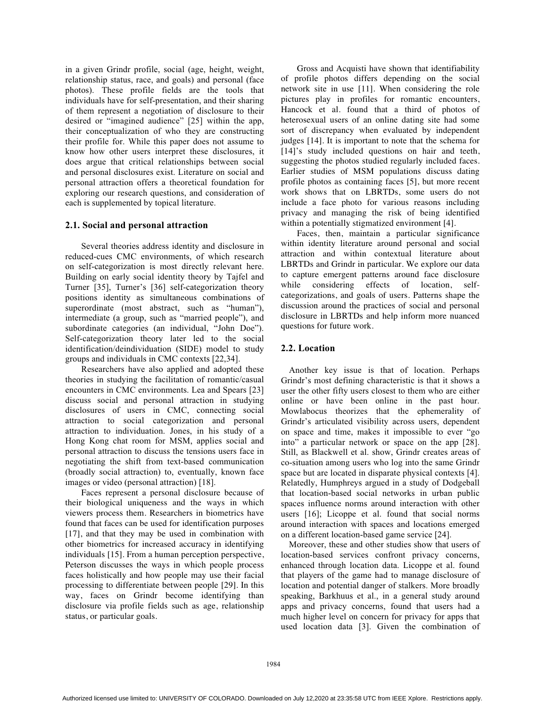in a given Grindr profile, social (age, height, weight, relationship status, race, and goals) and personal (face photos). These profile fields are the tools that individuals have for self-presentation, and their sharing of them represent a negotiation of disclosure to their desired or "imagined audience" [25] within the app, their conceptualization of who they are constructing their profile for. While this paper does not assume to know how other users interpret these disclosures, it does argue that critical relationships between social and personal disclosures exist. Literature on social and personal attraction offers a theoretical foundation for exploring our research questions, and consideration of each is supplemented by topical literature.

#### **2.1. Social and personal attraction**

Several theories address identity and disclosure in reduced-cues CMC environments, of which research on self-categorization is most directly relevant here. Building on early social identity theory by Tajfel and Turner [35], Turner's [36] self-categorization theory positions identity as simultaneous combinations of superordinate (most abstract, such as "human"), intermediate (a group, such as "married people"), and subordinate categories (an individual, "John Doe"). Self-categorization theory later led to the social identification/deindividuation (SIDE) model to study groups and individuals in CMC contexts [22,34].

Researchers have also applied and adopted these theories in studying the facilitation of romantic/casual encounters in CMC environments. Lea and Spears [23] discuss social and personal attraction in studying disclosures of users in CMC, connecting social attraction to social categorization and personal attraction to individuation. Jones, in his study of a Hong Kong chat room for MSM, applies social and personal attraction to discuss the tensions users face in negotiating the shift from text-based communication (broadly social attraction) to, eventually, known face images or video (personal attraction) [18].

Faces represent a personal disclosure because of their biological uniqueness and the ways in which viewers process them. Researchers in biometrics have found that faces can be used for identification purposes [17], and that they may be used in combination with other biometrics for increased accuracy in identifying individuals [15]. From a human perception perspective, Peterson discusses the ways in which people process faces holistically and how people may use their facial processing to differentiate between people [29]. In this way, faces on Grindr become identifying than disclosure via profile fields such as age, relationship status, or particular goals.

Gross and Acquisti have shown that identifiability of profile photos differs depending on the social network site in use [11]. When considering the role pictures play in profiles for romantic encounters, Hancock et al. found that a third of photos of heterosexual users of an online dating site had some sort of discrepancy when evaluated by independent judges [14]. It is important to note that the schema for [14]'s study included questions on hair and teeth, suggesting the photos studied regularly included faces. Earlier studies of MSM populations discuss dating profile photos as containing faces [5], but more recent work shows that on LBRTDs, some users do not include a face photo for various reasons including privacy and managing the risk of being identified within a potentially stigmatized environment [4].

Faces, then, maintain a particular significance within identity literature around personal and social attraction and within contextual literature about LBRTDs and Grindr in particular. We explore our data to capture emergent patterns around face disclosure while considering effects of location, selfcategorizations, and goals of users. Patterns shape the discussion around the practices of social and personal disclosure in LBRTDs and help inform more nuanced questions for future work.

## **2.2. Location**

Another key issue is that of location. Perhaps Grindr's most defining characteristic is that it shows a user the other fifty users closest to them who are either online or have been online in the past hour. Mowlabocus theorizes that the ephemerality of Grindr's articulated visibility across users, dependent on space and time, makes it impossible to ever "go into" a particular network or space on the app [28]. Still, as Blackwell et al. show, Grindr creates areas of co-situation among users who log into the same Grindr space but are located in disparate physical contexts [4]. Relatedly, Humphreys argued in a study of Dodgeball that location-based social networks in urban public spaces influence norms around interaction with other users [16]; Licoppe et al. found that social norms around interaction with spaces and locations emerged on a different location-based game service [24].

Moreover, these and other studies show that users of location-based services confront privacy concerns, enhanced through location data. Licoppe et al. found that players of the game had to manage disclosure of location and potential danger of stalkers. More broadly speaking, Barkhuus et al., in a general study around apps and privacy concerns, found that users had a much higher level on concern for privacy for apps that used location data [3]. Given the combination of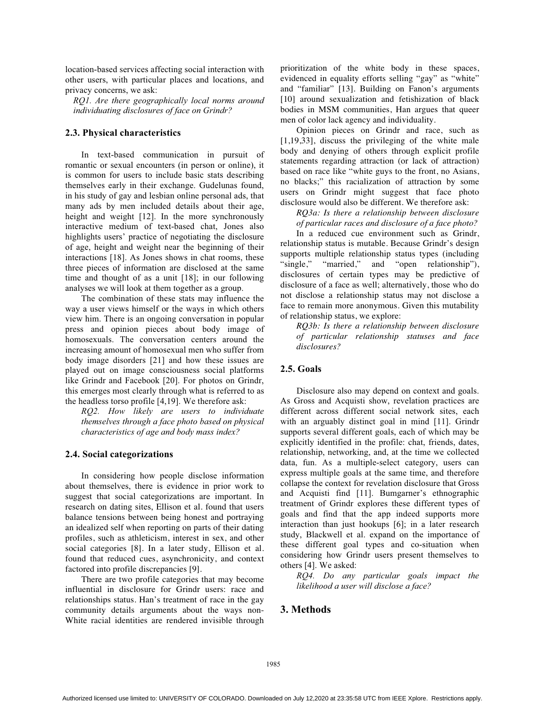location-based services affecting social interaction with other users, with particular places and locations, and privacy concerns, we ask:

*RQ1. Are there geographically local norms around individuating disclosures of face on Grindr?*

#### **2.3. Physical characteristics**

In text-based communication in pursuit of romantic or sexual encounters (in person or online), it is common for users to include basic stats describing themselves early in their exchange. Gudelunas found, in his study of gay and lesbian online personal ads, that many ads by men included details about their age, height and weight [12]. In the more synchronously interactive medium of text-based chat, Jones also highlights users' practice of negotiating the disclosure of age, height and weight near the beginning of their interactions [18]. As Jones shows in chat rooms, these three pieces of information are disclosed at the same time and thought of as a unit [18]; in our following analyses we will look at them together as a group.

The combination of these stats may influence the way a user views himself or the ways in which others view him. There is an ongoing conversation in popular press and opinion pieces about body image of homosexuals. The conversation centers around the increasing amount of homosexual men who suffer from body image disorders [21] and how these issues are played out on image consciousness social platforms like Grindr and Facebook [20]. For photos on Grindr, this emerges most clearly through what is referred to as the headless torso profile [4,19]. We therefore ask:

*RQ2. How likely are users to individuate themselves through a face photo based on physical characteristics of age and body mass index?* 

#### **2.4. Social categorizations**

In considering how people disclose information about themselves, there is evidence in prior work to suggest that social categorizations are important. In research on dating sites, Ellison et al. found that users balance tensions between being honest and portraying an idealized self when reporting on parts of their dating profiles, such as athleticism, interest in sex, and other social categories [8]. In a later study, Ellison et al. found that reduced cues, asynchronicity, and context factored into profile discrepancies [9].

There are two profile categories that may become influential in disclosure for Grindr users: race and relationships status. Han's treatment of race in the gay community details arguments about the ways non-White racial identities are rendered invisible through prioritization of the white body in these spaces, evidenced in equality efforts selling "gay" as "white" and "familiar" [13]. Building on Fanon's arguments [10] around sexualization and fetishization of black bodies in MSM communities, Han argues that queer men of color lack agency and individuality.

Opinion pieces on Grindr and race, such as [1,19,33], discuss the privileging of the white male body and denying of others through explicit profile statements regarding attraction (or lack of attraction) based on race like "white guys to the front, no Asians, no blacks;" this racialization of attraction by some users on Grindr might suggest that face photo disclosure would also be different. We therefore ask:

*RQ3a: Is there a relationship between disclosure of particular races and disclosure of a face photo?* 

In a reduced cue environment such as Grindr, relationship status is mutable. Because Grindr's design supports multiple relationship status types (including "single," "married," and "open relationship"), disclosures of certain types may be predictive of disclosure of a face as well; alternatively, those who do not disclose a relationship status may not disclose a face to remain more anonymous. Given this mutability of relationship status, we explore:

*RQ3b: Is there a relationship between disclosure of particular relationship statuses and face disclosures?*

## **2.5. Goals**

Disclosure also may depend on context and goals. As Gross and Acquisti show, revelation practices are different across different social network sites, each with an arguably distinct goal in mind [11]. Grindr supports several different goals, each of which may be explicitly identified in the profile: chat, friends, dates, relationship, networking, and, at the time we collected data, fun. As a multiple-select category, users can express multiple goals at the same time, and therefore collapse the context for revelation disclosure that Gross and Acquisti find [11]. Bumgarner's ethnographic treatment of Grindr explores these different types of goals and find that the app indeed supports more interaction than just hookups [6]; in a later research study, Blackwell et al. expand on the importance of these different goal types and co-situation when considering how Grindr users present themselves to others [4]. We asked:

*RQ4. Do any particular goals impact the likelihood a user will disclose a face?* 

## **3. Methods**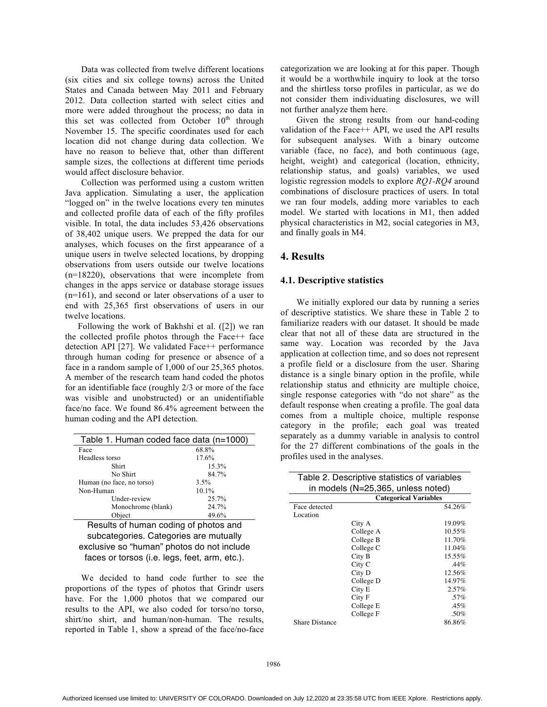Data was collected from twelve different locations (six cities and six college towns) across the United States and Canada between May 2011 and February 2012. Data collection started with select cities and more were added throughout the process; no data in this set was collected from October  $10<sup>th</sup>$  through November 15. The specific coordinates used for each location did not change during data collection. We have no reason to believe that, other than different sample sizes, the collections at different time periods would affect disclosure behavior.

Collection was performed using a custom written Java application. Simulating a user, the application "logged on" in the twelve locations every ten minutes and collected profile data of each of the fifty profiles visible. In total, the data includes 53,426 observations of 38,402 unique users. We prepped the data for our analyses, which focuses on the first appearance of a unique users in twelve selected locations, by dropping observations from users outside our twelve locations (n=18220), observations that were incomplete from changes in the apps service or database storage issues (n=161), and second or later observations of a user to end with 25,365 first observations of users in our twelve locations.

Following the work of Bakhshi et al. ([2]) we ran the collected profile photos through the Face++ face detection API [27]. We validated Face++ performance through human coding for presence or absence of a face in a random sample of 1,000 of our 25,365 photos. A member of the research team hand coded the photos for an identifiable face (roughly 2/3 or more of the face was visible and unobstructed) or an unidentifiable face/no face. We found 86.4% agreement between the human coding and the API detection.

| Table 1. Human coded face data (n=1000) |         |  |  |  |
|-----------------------------------------|---------|--|--|--|
| Face                                    | 68.8%   |  |  |  |
| Headless torso                          | 17.6%   |  |  |  |
| Shirt                                   | 15.3%   |  |  |  |
| No Shirt                                | 84.7%   |  |  |  |
| Human (no face, no torso)               | $3.5\%$ |  |  |  |
| Non-Human                               | 10.1%   |  |  |  |
| Under-review                            | 25.7%   |  |  |  |
| Monochrome (blank)                      | 24.7%   |  |  |  |
| Object                                  | 49.6%   |  |  |  |

Results of human coding of photos and subcategories. Categories are mutually exclusive so "human" photos do not include faces or torsos (i.e. legs, feet, arm, etc.).

We decided to hand code further to see the proportions of the types of photos that Grindr users have. For the 1,000 photos that we compared our results to the API, we also coded for torso/no torso, shirt/no shirt, and human/non-human. The results, reported in Table 1, show a spread of the face/no-face

categorization we are looking at for this paper. Though it would be a worthwhile inquiry to look at the torso and the shirtless torso profiles in particular, as we do not consider them individuating disclosures, we will not further analyze them here.

Given the strong results from our hand-coding validation of the Face++ API, we used the API results for subsequent analyses. With a binary outcome variable (face, no face), and both continuous (age, height, weight) and categorical (location, ethnicity, relationship status, and goals) variables, we used logistic regression models to explore *RQ1-RQ4* around combinations of disclosure practices of users. In total we ran four models, adding more variables to each model. We started with locations in M1, then added physical characteristics in M2, social categories in M3, and finally goals in M4.

## **4. Results**

### **4.1. Descriptive statistics**

We initially explored our data by running a series of descriptive statistics. We share these in Table 2 to familiarize readers with our dataset. It should be made clear that not all of these data are structured in the same way. Location was recorded by the Java application at collection time, and so does not represent a profile field or a disclosure from the user. Sharing distance is a single binary option in the profile, while relationship status and ethnicity are multiple choice, single response categories with "do not share" as the default response when creating a profile. The goal data comes from a multiple choice, multiple response category in the profile; each goal was treated separately as a dummy variable in analysis to control for the 27 different combinations of the goals in the profiles used in the analyses.

| Table 2. Descriptive statistics of variables<br>in models (N=25,365, unless noted) |                              |          |  |  |  |
|------------------------------------------------------------------------------------|------------------------------|----------|--|--|--|
|                                                                                    | <b>Categorical Variables</b> |          |  |  |  |
| Face detected                                                                      |                              | 54.26%   |  |  |  |
| Location                                                                           |                              |          |  |  |  |
|                                                                                    | City A                       | 19.09%   |  |  |  |
|                                                                                    | College A                    | 10.55%   |  |  |  |
|                                                                                    | College B                    | 11.70%   |  |  |  |
|                                                                                    | College C                    | 11.04%   |  |  |  |
|                                                                                    | City B                       | 15.55%   |  |  |  |
|                                                                                    | City C                       | $.44\%$  |  |  |  |
|                                                                                    | City D                       | 12.56%   |  |  |  |
|                                                                                    | College D                    | 14.97%   |  |  |  |
|                                                                                    | City E                       | $2.57\%$ |  |  |  |
|                                                                                    | City F                       | .57%     |  |  |  |
|                                                                                    | College E                    | .45%     |  |  |  |
|                                                                                    | College F                    | .50%     |  |  |  |
| <b>Share Distance</b>                                                              |                              | 86.86%   |  |  |  |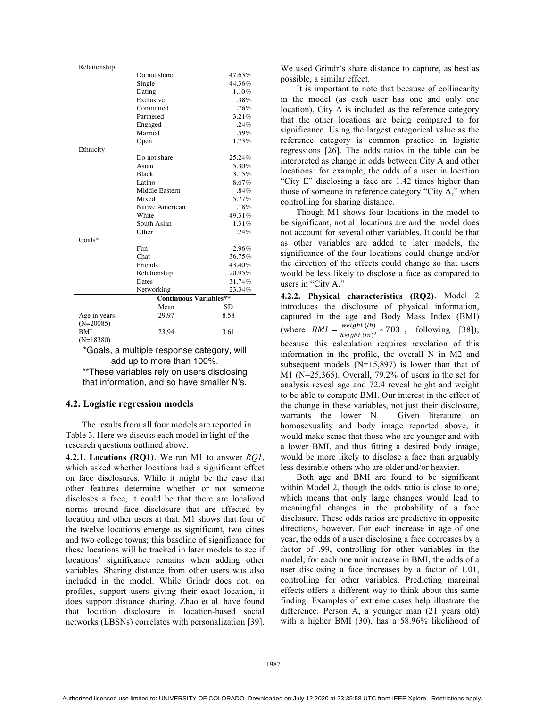| Relationship |                               |           |
|--------------|-------------------------------|-----------|
|              | Do not share                  | 47.63%    |
|              | Single                        | 44.36%    |
|              | Dating                        | 1.10%     |
|              | Exclusive                     | .38%      |
|              | Committed                     | .76%      |
|              | Partnered                     | 3.21%     |
|              | Engaged                       | .24%      |
|              | Married                       | .59%      |
|              | Open                          | 1.73%     |
| Ethnicity    |                               |           |
|              | Do not share                  | 25.24%    |
|              | Asian                         | 5.30%     |
|              | <b>Black</b>                  | 3.15%     |
|              | Latino                        | 8.67%     |
|              | Middle Eastern                | .84%      |
|              | Mixed                         | 5.77%     |
|              | Native American               | .18%      |
|              | White                         | 49.31%    |
|              | South Asian                   | 1.31%     |
|              | Other                         | .24%      |
| $Goals*$     |                               |           |
|              | Fun                           | 2.96%     |
|              | Chat                          | 36.75%    |
|              | Friends                       | 43.40%    |
|              | Relationship                  | 20.95%    |
|              | Dates                         | 31.74%    |
|              | Networking                    | 23.34%    |
|              | <b>Continuous Variables**</b> |           |
|              | Mean                          | <b>SD</b> |
| Age in years | 29.97                         | 8.58      |
| $(N=20085)$  |                               |           |
| <b>BMI</b>   | 23.94                         | 3.61      |
| $(N=18380)$  |                               |           |

\*Goals, a multiple response category, will add up to more than 100%. \*\*These variables rely on users disclosing that information, and so have smaller N's.

#### **4.2. Logistic regression models**

The results from all four models are reported in Table 3. Here we discuss each model in light of the research questions outlined above.

**4.2.1. Locations (RQ1)**. We ran M1 to answer *RQ1*, which asked whether locations had a significant effect on face disclosures. While it might be the case that other features determine whether or not someone discloses a face, it could be that there are localized norms around face disclosure that are affected by location and other users at that. M1 shows that four of the twelve locations emerge as significant, two cities and two college towns; this baseline of significance for these locations will be tracked in later models to see if locations' significance remains when adding other variables. Sharing distance from other users was also included in the model. While Grindr does not, on profiles, support users giving their exact location, it does support distance sharing. Zhao et al. have found that location disclosure in location-based social networks (LBSNs) correlates with personalization [39].

We used Grindr's share distance to capture, as best as possible, a similar effect.

It is important to note that because of collinearity in the model (as each user has one and only one location), City A is included as the reference category that the other locations are being compared to for significance. Using the largest categorical value as the reference category is common practice in logistic regressions [26]. The odds ratios in the table can be interpreted as change in odds between City A and other locations: for example, the odds of a user in location "City E" disclosing a face are 1.42 times higher than those of someone in reference category "City A," when controlling for sharing distance.

Though M1 shows four locations in the model to be significant, not all locations are and the model does not account for several other variables. It could be that as other variables are added to later models, the significance of the four locations could change and/or the direction of the effects could change so that users would be less likely to disclose a face as compared to users in "City A."

**4.2.2. Physical characteristics (RQ2)**. Model 2 introduces the disclosure of physical information, captured in the age and Body Mass Index (BMI) (where  $BMI = \frac{weight \ (lb)}{height \ (in)^2} * 703$ , following [38]); because this calculation requires revelation of this information in the profile, the overall N in M2 and subsequent models  $(N=15,897)$  is lower than that of M1 ( $N=25,365$ ). Overall, 79.2% of users in the set for analysis reveal age and 72.4 reveal height and weight to be able to compute BMI. Our interest in the effect of the change in these variables, not just their disclosure, warrants the lower N. Given literature on homosexuality and body image reported above, it would make sense that those who are younger and with a lower BMI, and thus fitting a desired body image, would be more likely to disclose a face than arguably less desirable others who are older and/or heavier.

Both age and BMI are found to be significant within Model 2, though the odds ratio is close to one, which means that only large changes would lead to meaningful changes in the probability of a face disclosure. These odds ratios are predictive in opposite directions, however. For each increase in age of one year, the odds of a user disclosing a face decreases by a factor of .99, controlling for other variables in the model; for each one unit increase in BMI, the odds of a user disclosing a face increases by a factor of 1.01, controlling for other variables. Predicting marginal effects offers a different way to think about this same finding. Examples of extreme cases help illustrate the difference: Person A, a younger man (21 years old) with a higher BMI (30), has a 58.96% likelihood of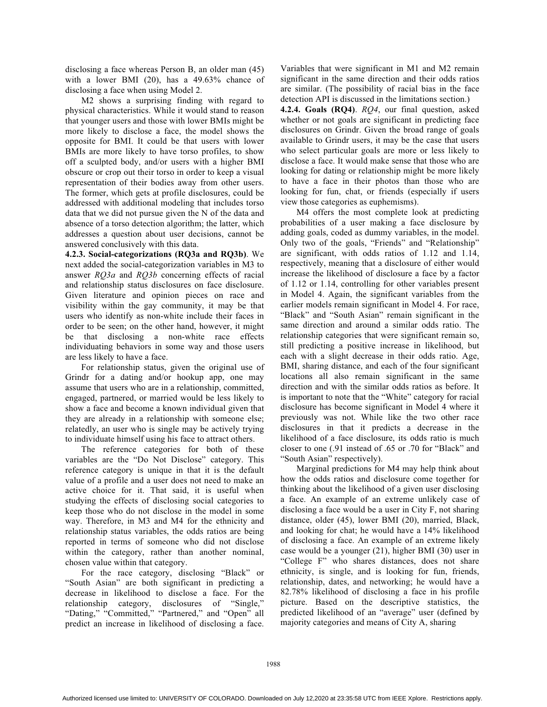disclosing a face whereas Person B, an older man (45) with a lower BMI (20), has a 49.63% chance of disclosing a face when using Model 2.

M2 shows a surprising finding with regard to physical characteristics. While it would stand to reason that younger users and those with lower BMIs might be more likely to disclose a face, the model shows the opposite for BMI. It could be that users with lower BMIs are more likely to have torso profiles, to show off a sculpted body, and/or users with a higher BMI obscure or crop out their torso in order to keep a visual representation of their bodies away from other users. The former, which gets at profile disclosures, could be addressed with additional modeling that includes torso data that we did not pursue given the N of the data and absence of a torso detection algorithm; the latter, which addresses a question about user decisions, cannot be answered conclusively with this data.

**4.2.3. Social-categorizations (RQ3a and RQ3b)**. We next added the social-categorization variables in M3 to answer *RQ3a* and *RQ3b* concerning effects of racial and relationship status disclosures on face disclosure. Given literature and opinion pieces on race and visibility within the gay community, it may be that users who identify as non-white include their faces in order to be seen; on the other hand, however, it might be that disclosing a non-white race effects individuating behaviors in some way and those users are less likely to have a face.

For relationship status, given the original use of Grindr for a dating and/or hookup app, one may assume that users who are in a relationship, committed, engaged, partnered, or married would be less likely to show a face and become a known individual given that they are already in a relationship with someone else; relatedly, an user who is single may be actively trying to individuate himself using his face to attract others.

The reference categories for both of these variables are the "Do Not Disclose" category. This reference category is unique in that it is the default value of a profile and a user does not need to make an active choice for it. That said, it is useful when studying the effects of disclosing social categories to keep those who do not disclose in the model in some way. Therefore, in M3 and M4 for the ethnicity and relationship status variables, the odds ratios are being reported in terms of someone who did not disclose within the category, rather than another nominal, chosen value within that category.

For the race category, disclosing "Black" or "South Asian" are both significant in predicting a decrease in likelihood to disclose a face. For the relationship category, disclosures of "Single," "Dating," "Committed," "Partnered," and "Open" all predict an increase in likelihood of disclosing a face. Variables that were significant in M1 and M2 remain significant in the same direction and their odds ratios are similar. (The possibility of racial bias in the face detection API is discussed in the limitations section.)

**4.2.4. Goals (RQ4)**. *RQ4*, our final question, asked whether or not goals are significant in predicting face disclosures on Grindr. Given the broad range of goals available to Grindr users, it may be the case that users who select particular goals are more or less likely to disclose a face. It would make sense that those who are looking for dating or relationship might be more likely to have a face in their photos than those who are looking for fun, chat, or friends (especially if users view those categories as euphemisms).

M4 offers the most complete look at predicting probabilities of a user making a face disclosure by adding goals, coded as dummy variables, in the model. Only two of the goals, "Friends" and "Relationship" are significant, with odds ratios of 1.12 and 1.14, respectively, meaning that a disclosure of either would increase the likelihood of disclosure a face by a factor of 1.12 or 1.14, controlling for other variables present in Model 4. Again, the significant variables from the earlier models remain significant in Model 4. For race, "Black" and "South Asian" remain significant in the same direction and around a similar odds ratio. The relationship categories that were significant remain so, still predicting a positive increase in likelihood, but each with a slight decrease in their odds ratio. Age, BMI, sharing distance, and each of the four significant locations all also remain significant in the same direction and with the similar odds ratios as before. It is important to note that the "White" category for racial disclosure has become significant in Model 4 where it previously was not. While like the two other race disclosures in that it predicts a decrease in the likelihood of a face disclosure, its odds ratio is much closer to one (.91 instead of .65 or .70 for "Black" and "South Asian" respectively).

Marginal predictions for M4 may help think about how the odds ratios and disclosure come together for thinking about the likelihood of a given user disclosing a face. An example of an extreme unlikely case of disclosing a face would be a user in City F, not sharing distance, older (45), lower BMI (20), married, Black, and looking for chat; he would have a 14% likelihood of disclosing a face. An example of an extreme likely case would be a younger (21), higher BMI (30) user in "College F" who shares distances, does not share ethnicity, is single, and is looking for fun, friends, relationship, dates, and networking; he would have a 82.78% likelihood of disclosing a face in his profile picture. Based on the descriptive statistics, the predicted likelihood of an "average" user (defined by majority categories and means of City A, sharing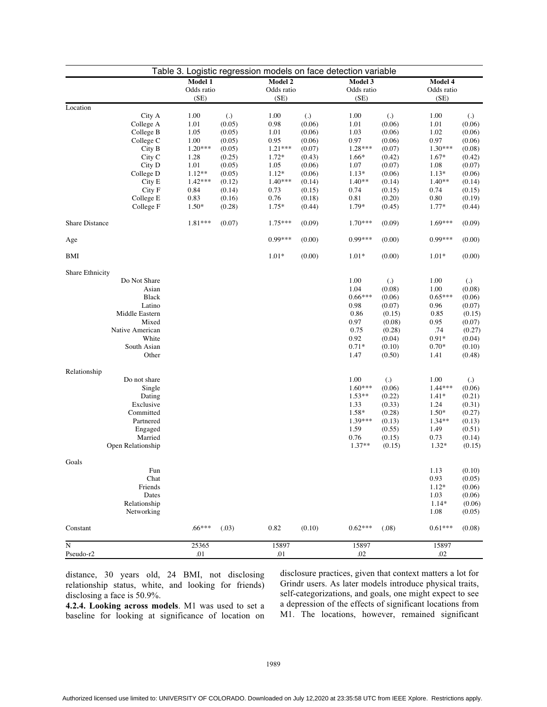| Table 3. Logistic regression models on face detection variable |                               |                     |                               |                     |                               |                             |                               |                             |
|----------------------------------------------------------------|-------------------------------|---------------------|-------------------------------|---------------------|-------------------------------|-----------------------------|-------------------------------|-----------------------------|
|                                                                | Model 1<br>Odds ratio<br>(SE) |                     | Model 2<br>Odds ratio<br>(SE) |                     | Model 3<br>Odds ratio<br>(SE) |                             | Model 4<br>Odds ratio<br>(SE) |                             |
| Location                                                       |                               |                     |                               |                     |                               |                             |                               |                             |
| City A<br>College A                                            | 1.00<br>1.01                  | $\lambda$<br>(0.05) | 1.00<br>0.98                  | $\lambda$<br>(0.06) | 1.00<br>1.01                  | $\left( .\right)$<br>(0.06) | 1.00<br>1.01                  | $\left( .\right)$<br>(0.06) |
| College B                                                      | 1.05                          | (0.05)              | 1.01                          | (0.06)              | 1.03                          | (0.06)                      | 1.02                          | (0.06)                      |
| College C                                                      | 1.00                          | (0.05)              | 0.95                          | (0.06)              | 0.97                          | (0.06)                      | 0.97                          | (0.06)                      |
| City B                                                         | $1.20***$                     | (0.05)              | $1.21***$                     | (0.07)              | $1.28***$                     | (0.07)                      | $1.30***$                     | (0.08)                      |
| City C                                                         | 1.28                          | (0.25)              | 1.72*                         | (0.43)              | $1.66*$                       | (0.42)                      | $1.67*$                       | (0.42)                      |
| City D                                                         | 1.01                          | (0.05)              | 1.05                          | (0.06)              | 1.07                          | (0.07)                      | 1.08                          | (0.07)                      |
| College D                                                      | $1.12**$                      | (0.05)              | $1.12*$                       | (0.06)              | $1.13*$                       | (0.06)                      | $1.13*$                       | (0.06)                      |
| City E                                                         | $1.42***$                     | (0.12)              | $1.40***$                     | (0.14)              | $1.40**$                      | (0.14)                      | $1.40**$                      | (0.14)                      |
| City F                                                         | 0.84                          | (0.14)              | 0.73                          | (0.15)              | 0.74                          | (0.15)                      | 0.74                          | (0.15)                      |
| College E                                                      | 0.83                          | (0.16)              | 0.76                          | (0.18)              | 0.81                          | (0.20)                      | 0.80                          | (0.19)                      |
| College F                                                      | $1.50*$                       | (0.28)              | 1.75*                         | (0.44)              | 1.79*                         | (0.45)                      | $1.77*$                       | (0.44)                      |
| <b>Share Distance</b>                                          | $1.81***$                     | (0.07)              | $1.75***$                     | (0.09)              | 1.70***                       | (0.09)                      | $1.69***$                     | (0.09)                      |
| Age                                                            |                               |                     | 0.99***                       | (0.00)              | $0.99***$                     | (0.00)                      | $0.99***$                     | (0.00)                      |
| BMI                                                            |                               |                     | $1.01*$                       | (0.00)              | $1.01*$                       | (0.00)                      | $1.01*$                       | (0.00)                      |
| <b>Share Ethnicity</b>                                         |                               |                     |                               |                     |                               |                             |                               |                             |
| Do Not Share                                                   |                               |                     |                               |                     | 1.00                          | $\lambda$ .                 | 1.00                          | $\left( .\right)$           |
| Asian                                                          |                               |                     |                               |                     | 1.04                          | (0.08)                      | 1.00                          | (0.08)                      |
| <b>Black</b>                                                   |                               |                     |                               |                     | $0.66***$                     | (0.06)                      | $0.65***$                     | (0.06)                      |
| Latino                                                         |                               |                     |                               |                     | 0.98                          | (0.07)                      | 0.96                          | (0.07)                      |
| Middle Eastern                                                 |                               |                     |                               |                     | 0.86                          | (0.15)                      | 0.85                          | (0.15)                      |
| Mixed                                                          |                               |                     |                               |                     | 0.97                          | (0.08)                      | 0.95                          | (0.07)                      |
| Native American                                                |                               |                     |                               |                     | 0.75                          | (0.28)                      | .74                           | (0.27)                      |
| White                                                          |                               |                     |                               |                     | 0.92                          | (0.04)                      | $0.91*$                       | (0.04)                      |
| South Asian                                                    |                               |                     |                               |                     | $0.71*$                       | (0.10)                      | $0.70*$                       | (0.10)                      |
| Other                                                          |                               |                     |                               |                     | 1.47                          | (0.50)                      | 1.41                          | (0.48)                      |
| Relationship                                                   |                               |                     |                               |                     |                               |                             |                               |                             |
| Do not share                                                   |                               |                     |                               |                     | 1.00                          | $\lambda$                   | 1.00                          | $\left( .\right)$           |
| Single                                                         |                               |                     |                               |                     | $1.60***$                     | (0.06)                      | 1.44 ***                      | (0.06)                      |
| Dating                                                         |                               |                     |                               |                     | $1.53**$                      | (0.22)                      | $1.41*$                       | (0.21)                      |
| Exclusive                                                      |                               |                     |                               |                     | 1.33                          | (0.33)                      | 1.24                          | (0.31)                      |
| Committed                                                      |                               |                     |                               |                     | 1.58*                         | (0.28)                      | $1.50*$                       | (0.27)                      |
| Partnered                                                      |                               |                     |                               |                     | 1.39***                       | (0.13)                      | $1.34**$                      | (0.13)                      |
| Engaged                                                        |                               |                     |                               |                     | 1.59                          | (0.55)                      | 1.49                          | (0.51)                      |
| Married                                                        |                               |                     |                               |                     | 0.76                          | (0.15)                      | 0.73                          | (0.14)                      |
| Open Relationship                                              |                               |                     |                               |                     | $1.37**$                      | (0.15)                      | $1.32*$                       | (0.15)                      |
| Goals                                                          |                               |                     |                               |                     |                               |                             |                               |                             |
| Fun                                                            |                               |                     |                               |                     |                               |                             | 1.13                          | (0.10)                      |
| Chat                                                           |                               |                     |                               |                     |                               |                             | 0.93                          | (0.05)                      |
| Friends                                                        |                               |                     |                               |                     |                               |                             | 1.12*                         | (0.06)                      |
| Dates                                                          |                               |                     |                               |                     |                               |                             | 1.03                          | (0.06)                      |
| Relationship                                                   |                               |                     |                               |                     |                               |                             | $1.14*$                       | (0.06)                      |
| Networking                                                     |                               |                     |                               |                     |                               |                             | 1.08                          | (0.05)                      |
| Constant                                                       | $.66***$                      | (.03)               | 0.82                          | (0.10)              | $0.62***$                     | (.08)                       | $0.61***$                     | (0.08)                      |
| N                                                              | 25365                         |                     | 15897                         |                     | 15897                         |                             | 15897                         |                             |
| Pseudo-r2                                                      | .01                           |                     | .01                           |                     | .02                           |                             | $.02\,$                       |                             |

distance, 30 years old, 24 BMI, not disclosing relationship status, white, and looking for friends) disclosing a face is 50.9%.

**4.2.4. Looking across models**. M1 was used to set a baseline for looking at significance of location on disclosure practices, given that context matters a lot for Grindr users. As later models introduce physical traits, self-categorizations, and goals, one might expect to see a depression of the effects of significant locations from M1. The locations, however, remained significant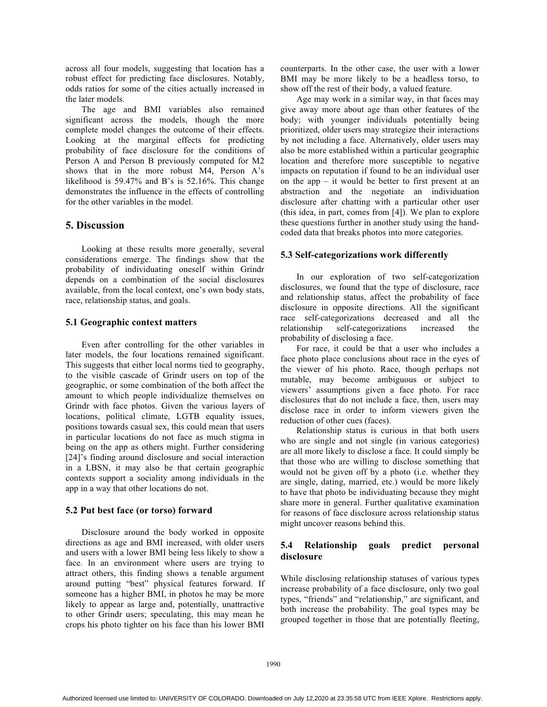across all four models, suggesting that location has a robust effect for predicting face disclosures. Notably, odds ratios for some of the cities actually increased in the later models.

The age and BMI variables also remained significant across the models, though the more complete model changes the outcome of their effects. Looking at the marginal effects for predicting probability of face disclosure for the conditions of Person A and Person B previously computed for M2 shows that in the more robust M4, Person A's likelihood is 59.47% and B's is 52.16%. This change demonstrates the influence in the effects of controlling for the other variables in the model.

## **5. Discussion**

Looking at these results more generally, several considerations emerge. The findings show that the probability of individuating oneself within Grindr depends on a combination of the social disclosures available, from the local context, one's own body stats, race, relationship status, and goals.

#### **5.1 Geographic context matters**

Even after controlling for the other variables in later models, the four locations remained significant. This suggests that either local norms tied to geography, to the visible cascade of Grindr users on top of the geographic, or some combination of the both affect the amount to which people individualize themselves on Grindr with face photos. Given the various layers of locations, political climate, LGTB equality issues, positions towards casual sex, this could mean that users in particular locations do not face as much stigma in being on the app as others might. Further considering [24]'s finding around disclosure and social interaction in a LBSN, it may also be that certain geographic contexts support a sociality among individuals in the app in a way that other locations do not.

#### **5.2 Put best face (or torso) forward**

Disclosure around the body worked in opposite directions as age and BMI increased, with older users and users with a lower BMI being less likely to show a face. In an environment where users are trying to attract others, this finding shows a tenable argument around putting "best" physical features forward. If someone has a higher BMI, in photos he may be more likely to appear as large and, potentially, unattractive to other Grindr users; speculating, this may mean he crops his photo tighter on his face than his lower BMI counterparts. In the other case, the user with a lower BMI may be more likely to be a headless torso, to show off the rest of their body, a valued feature.

Age may work in a similar way, in that faces may give away more about age than other features of the body; with younger individuals potentially being prioritized, older users may strategize their interactions by not including a face. Alternatively, older users may also be more established within a particular geographic location and therefore more susceptible to negative impacts on reputation if found to be an individual user on the app – it would be better to first present at an abstraction and the negotiate an individuation disclosure after chatting with a particular other user (this idea, in part, comes from [4]). We plan to explore these questions further in another study using the handcoded data that breaks photos into more categories.

### **5.3 Self-categorizations work differently**

In our exploration of two self-categorization disclosures, we found that the type of disclosure, race and relationship status, affect the probability of face disclosure in opposite directions. All the significant race self-categorizations decreased and all the relationship self-categorizations increased the probability of disclosing a face.

For race, it could be that a user who includes a face photo place conclusions about race in the eyes of the viewer of his photo. Race, though perhaps not mutable, may become ambiguous or subject to viewers' assumptions given a face photo. For race disclosures that do not include a face, then, users may disclose race in order to inform viewers given the reduction of other cues (faces).

Relationship status is curious in that both users who are single and not single (in various categories) are all more likely to disclose a face. It could simply be that those who are willing to disclose something that would not be given off by a photo (i.e. whether they are single, dating, married, etc.) would be more likely to have that photo be individuating because they might share more in general. Further qualitative examination for reasons of face disclosure across relationship status might uncover reasons behind this.

## **5.4 Relationship goals predict personal disclosure**

While disclosing relationship statuses of various types increase probability of a face disclosure, only two goal types, "friends" and "relationship," are significant, and both increase the probability. The goal types may be grouped together in those that are potentially fleeting,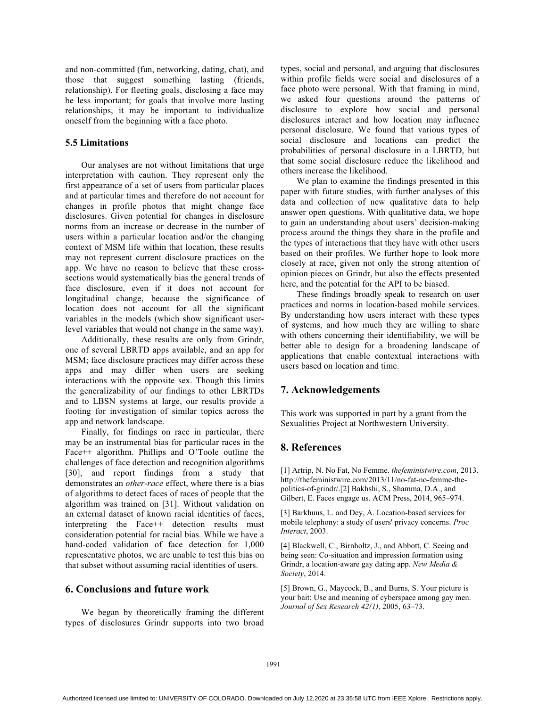and non-committed (fun, networking, dating, chat), and those that suggest something lasting (friends, relationship). For fleeting goals, disclosing a face may be less important; for goals that involve more lasting relationships, it may be important to individualize oneself from the beginning with a face photo.

## **5.5 Limitations**

Our analyses are not without limitations that urge interpretation with caution. They represent only the first appearance of a set of users from particular places and at particular times and therefore do not account for changes in profile photos that might change face disclosures. Given potential for changes in disclosure norms from an increase or decrease in the number of users within a particular location and/or the changing context of MSM life within that location, these results may not represent current disclosure practices on the app. We have no reason to believe that these crosssections would systematically bias the general trends of face disclosure, even if it does not account for longitudinal change, because the significance of location does not account for all the significant variables in the models (which show significant userlevel variables that would not change in the same way).

Additionally, these results are only from Grindr, one of several LBRTD apps available, and an app for MSM; face disclosure practices may differ across these apps and may differ when users are seeking interactions with the opposite sex. Though this limits the generalizability of our findings to other LBRTDs and to LBSN systems at large, our results provide a footing for investigation of similar topics across the app and network landscape.

Finally, for findings on race in particular, there may be an instrumental bias for particular races in the Face++ algorithm. Phillips and O'Toole outline the challenges of face detection and recognition algorithms [30], and report findings from a study that demonstrates an *other-race* effect, where there is a bias of algorithms to detect faces of races of people that the algorithm was trained on [31]. Without validation on an external dataset of known racial identities of faces, interpreting the Face++ detection results must consideration potential for racial bias. While we have a hand-coded validation of face detection for 1,000 representative photos, we are unable to test this bias on that subset without assuming racial identities of users.

## **6. Conclusions and future work**

We began by theoretically framing the different types of disclosures Grindr supports into two broad types, social and personal, and arguing that disclosures within profile fields were social and disclosures of a face photo were personal. With that framing in mind, we asked four questions around the patterns of disclosure to explore how social and personal disclosures interact and how location may influence personal disclosure. We found that various types of social disclosure and locations can predict the probabilities of personal disclosure in a LBRTD, but that some social disclosure reduce the likelihood and others increase the likelihood.

We plan to examine the findings presented in this paper with future studies, with further analyses of this data and collection of new qualitative data to help answer open questions. With qualitative data, we hope to gain an understanding about users' decision-making process around the things they share in the profile and the types of interactions that they have with other users based on their profiles. We further hope to look more closely at race, given not only the strong attention of opinion pieces on Grindr, but also the effects presented here, and the potential for the API to be biased.

These findings broadly speak to research on user practices and norms in location-based mobile services. By understanding how users interact with these types of systems, and how much they are willing to share with others concerning their identifiability, we will be better able to design for a broadening landscape of applications that enable contextual interactions with users based on location and time.

## **7. Acknowledgements**

This work was supported in part by a grant from the Sexualities Project at Northwestern University.

## **8. References**

[1] Artrip, N. No Fat, No Femme. *thefeministwire.com*, 2013. http://thefeministwire.com/2013/11/no-fat-no-femme-thepolitics-of-grindr/.[2] Bakhshi, S., Shamma, D.A., and Gilbert, E. Faces engage us. ACM Press, 2014, 965–974.

[3] Barkhuus, L. and Dey, A. Location-based services for mobile telephony: a study of users' privacy concerns. *Proc Interact*, 2003.

[4] Blackwell, C., Birnholtz, J., and Abbott, C. Seeing and being seen: Co-situation and impression formation using Grindr, a location-aware gay dating app. *New Media & Society*, 2014.

[5] Brown, G., Maycock, B., and Burns, S. Your picture is your bait: Use and meaning of cyberspace among gay men. *Journal of Sex Research 42(1)*, 2005, 63–73.